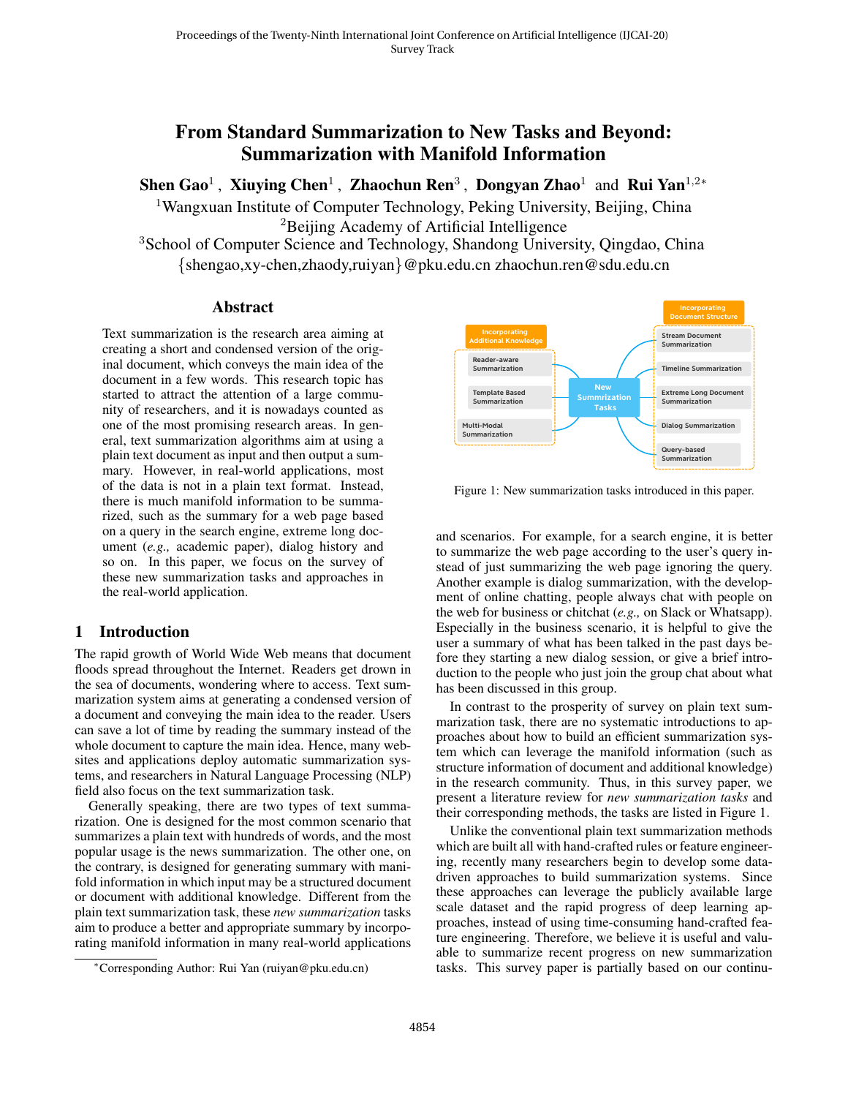# <span id="page-0-1"></span>From Standard Summarization to New Tasks and Beyond: Summarization with Manifold Information

Shen Gao<sup>1</sup>, Xiuying Chen<sup>1</sup>, Zhaochun Ren<sup>3</sup>, Dongyan Zhao<sup>1</sup> and Rui Yan<sup>1,2</sup>\*

<sup>1</sup>Wangxuan Institute of Computer Technology, Peking University, Beijing, China <sup>2</sup>Beijing Academy of Artificial Intelligence

<sup>3</sup>School of Computer Science and Technology, Shandong University, Qingdao, China {shengao,xy-chen,zhaody,ruiyan}@pku.edu.cn zhaochun.ren@sdu.edu.cn

#### **Abstract**

Text summarization is the research area aiming at creating a short and condensed version of the original document, which conveys the main idea of the document in a few words. This research topic has started to attract the attention of a large community of researchers, and it is nowadays counted as one of the most promising research areas. In general, text summarization algorithms aim at using a plain text document as input and then output a summary. However, in real-world applications, most of the data is not in a plain text format. Instead, there is much manifold information to be summarized, such as the summary for a web page based on a query in the search engine, extreme long document (*e.g.,* academic paper), dialog history and so on. In this paper, we focus on the survey of these new summarization tasks and approaches in the real-world application.

#### 1 Introduction

The rapid growth of World Wide Web means that document floods spread throughout the Internet. Readers get drown in the sea of documents, wondering where to access. Text summarization system aims at generating a condensed version of a document and conveying the main idea to the reader. Users can save a lot of time by reading the summary instead of the whole document to capture the main idea. Hence, many websites and applications deploy automatic summarization systems, and researchers in Natural Language Processing (NLP) field also focus on the text summarization task.

Generally speaking, there are two types of text summarization. One is designed for the most common scenario that summarizes a plain text with hundreds of words, and the most popular usage is the news summarization. The other one, on the contrary, is designed for generating summary with manifold information in which input may be a structured document or document with additional knowledge. Different from the plain text summarization task, these *new summarization* tasks aim to produce a better and appropriate summary by incorporating manifold information in many real-world applications

<span id="page-0-0"></span>

Figure 1: New summarization tasks introduced in this paper.

and scenarios. For example, for a search engine, it is better to summarize the web page according to the user's query instead of just summarizing the web page ignoring the query. Another example is dialog summarization, with the development of online chatting, people always chat with people on the web for business or chitchat (*e.g.,* on Slack or Whatsapp). Especially in the business scenario, it is helpful to give the user a summary of what has been talked in the past days before they starting a new dialog session, or give a brief introduction to the people who just join the group chat about what has been discussed in this group.

In contrast to the prosperity of survey on plain text summarization task, there are no systematic introductions to approaches about how to build an efficient summarization system which can leverage the manifold information (such as structure information of document and additional knowledge) in the research community. Thus, in this survey paper, we present a literature review for *new summarization tasks* and their corresponding methods, the tasks are listed in Figure [1.](#page-0-0)

Unlike the conventional plain text summarization methods which are built all with hand-crafted rules or feature engineering, recently many researchers begin to develop some datadriven approaches to build summarization systems. Since these approaches can leverage the publicly available large scale dataset and the rapid progress of deep learning approaches, instead of using time-consuming hand-crafted feature engineering. Therefore, we believe it is useful and valuable to summarize recent progress on new summarization tasks. This survey paper is partially based on our continu-

<sup>∗</sup>Corresponding Author: Rui Yan (ruiyan@pku.edu.cn)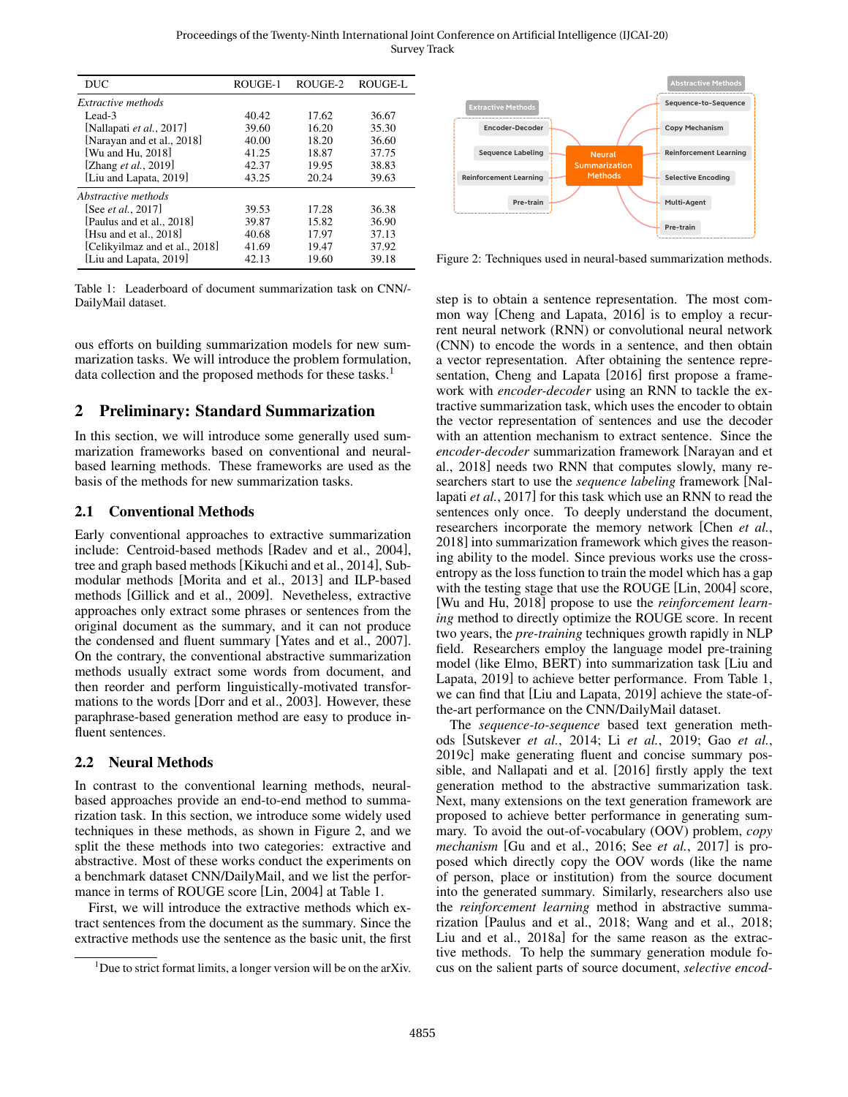Proceedings of the Twenty-Ninth International Joint Conference on Artificial Intelligence (IJCAI-20) Survey Track

<span id="page-1-1"></span>

| <b>DUC</b>                     | ROUGE-1 | ROUGE-2 | ROUGE-L |
|--------------------------------|---------|---------|---------|
| <i>Extractive methods</i>      |         |         |         |
| Lead-3                         | 40.42   | 17.62   | 36.67   |
| [Nallapati et al., 2017]       | 39.60   | 16.20   | 35.30   |
| [Narayan and et al., 2018]     | 40.00   | 18.20   | 36.60   |
| [Wu and Hu, 2018]              | 41.25   | 18.87   | 37.75   |
| [Zhang <i>et al.</i> , 2019]   | 42.37   | 19.95   | 38.83   |
| [Liu and Lapata, 2019]         | 43.25   | 20.24   | 39.63   |
| Abstractive methods            |         |         |         |
| [See <i>et al.</i> , 2017]     | 39.53   | 17.28   | 36.38   |
| [Paulus and et al., 2018]      | 39.87   | 15.82   | 36.90   |
| [Hsu and et al., 2018]         | 40.68   | 17.97   | 37.13   |
| [Celikyilmaz and et al., 2018] | 41.69   | 19.47   | 37.92   |
| [Liu and Lapata, 2019]         | 42.13   | 19.60   | 39.18   |

Table 1: Leaderboard of document summarization task on CNN/- DailyMail dataset.

ous efforts on building summarization models for new summarization tasks. We will introduce the problem formulation, data collection and the proposed methods for these tasks.<sup>[1](#page-0-1)</sup>

# 2 Preliminary: Standard Summarization

In this section, we will introduce some generally used summarization frameworks based on conventional and neuralbased learning methods. These frameworks are used as the basis of the methods for new summarization tasks.

#### 2.1 Conventional Methods

Early conventional approaches to extractive summarization include: Centroid-based methods [\[Radev and et al., 2004\]](#page-6-7), tree and graph based methods [\[Kikuchi and et al., 2014\]](#page-5-2), Submodular methods [\[Morita and et al., 2013\]](#page-6-8) and ILP-based methods [\[Gillick and et al., 2009\]](#page-5-3). Nevetheless, extractive approaches only extract some phrases or sentences from the original document as the summary, and it can not produce the condensed and fluent summary [\[Yates and et al., 2007\]](#page-6-9). On the contrary, the conventional abstractive summarization methods usually extract some words from document, and then reorder and perform linguistically-motivated transformations to the words [\[Dorr and et al., 2003\]](#page-5-4). However, these paraphrase-based generation method are easy to produce influent sentences.

### 2.2 Neural Methods

In contrast to the conventional learning methods, neuralbased approaches provide an end-to-end method to summarization task. In this section, we introduce some widely used techniques in these methods, as shown in Figure [2,](#page-1-0) and we split the these methods into two categories: extractive and abstractive. Most of these works conduct the experiments on a benchmark dataset CNN/DailyMail, and we list the performance in terms of ROUGE score [\[Lin, 2004\]](#page-6-10) at Table [1.](#page-1-1)

First, we will introduce the extractive methods which extract sentences from the document as the summary. Since the extractive methods use the sentence as the basic unit, the first

<span id="page-1-0"></span>

Figure 2: Techniques used in neural-based summarization methods.

step is to obtain a sentence representation. The most common way [\[Cheng and Lapata, 2016\]](#page-5-5) is to employ a recurrent neural network (RNN) or convolutional neural network (CNN) to encode the words in a sentence, and then obtain a vector representation. After obtaining the sentence representation, [Cheng and Lapata](#page-5-5) [\[2016\]](#page-5-5) first propose a framework with *encoder-decoder* using an RNN to tackle the extractive summarization task, which uses the encoder to obtain the vector representation of sentences and use the decoder with an attention mechanism to extract sentence. Since the *encoder-decoder* summarization framework [\[Narayan and et](#page-6-1) [al., 2018\]](#page-6-1) needs two RNN that computes slowly, many researchers start to use the *sequence labeling* framework [\[Nal](#page-6-0)lapati *et al.*[, 2017\]](#page-6-0) for this task which use an RNN to read the sentences only once. To deeply understand the document, researchers incorporate the memory network [\[Chen](#page-5-6) *et al.*, [2018\]](#page-5-6) into summarization framework which gives the reasoning ability to the model. Since previous works use the crossentropy as the loss function to train the model which has a gap with the testing stage that use the ROUGE [\[Lin, 2004\]](#page-6-10) score, [\[Wu and Hu, 2018\]](#page-6-2) propose to use the *reinforcement learning* method to directly optimize the ROUGE score. In recent two years, the *pre-training* techniques growth rapidly in NLP field. Researchers employ the language model pre-training model (like Elmo, BERT) into summarization task [\[Liu and](#page-6-4) [Lapata, 2019\]](#page-6-4) to achieve better performance. From Table [1,](#page-1-1) we can find that [\[Liu and Lapata, 2019\]](#page-6-4) achieve the state-ofthe-art performance on the CNN/DailyMail dataset.

The *sequence-to-sequence* based text generation methods [\[Sutskever](#page-6-11) *et al.*, 2014; Li *et al.*[, 2019;](#page-6-12) Gao *[et al.](#page-5-7)*, [2019c\]](#page-5-7) make generating fluent and concise summary possible, and [Nallapati and et al.](#page-6-13) [\[2016\]](#page-6-13) firstly apply the text generation method to the abstractive summarization task. Next, many extensions on the text generation framework are proposed to achieve better performance in generating summary. To avoid the out-of-vocabulary (OOV) problem, *copy mechanism* [\[Gu and et al., 2016;](#page-5-8) See *et al.*[, 2017\]](#page-6-5) is proposed which directly copy the OOV words (like the name of person, place or institution) from the source document into the generated summary. Similarly, researchers also use the *reinforcement learning* method in abstractive summarization [\[Paulus and et al., 2018;](#page-6-6) [Wang and et al., 2018;](#page-6-14) [Liu and et al., 2018a\]](#page-6-15) for the same reason as the extractive methods. To help the summary generation module focus on the salient parts of source document, *selective encod-*

<sup>&</sup>lt;sup>1</sup>Due to strict format limits, a longer version will be on the arXiv.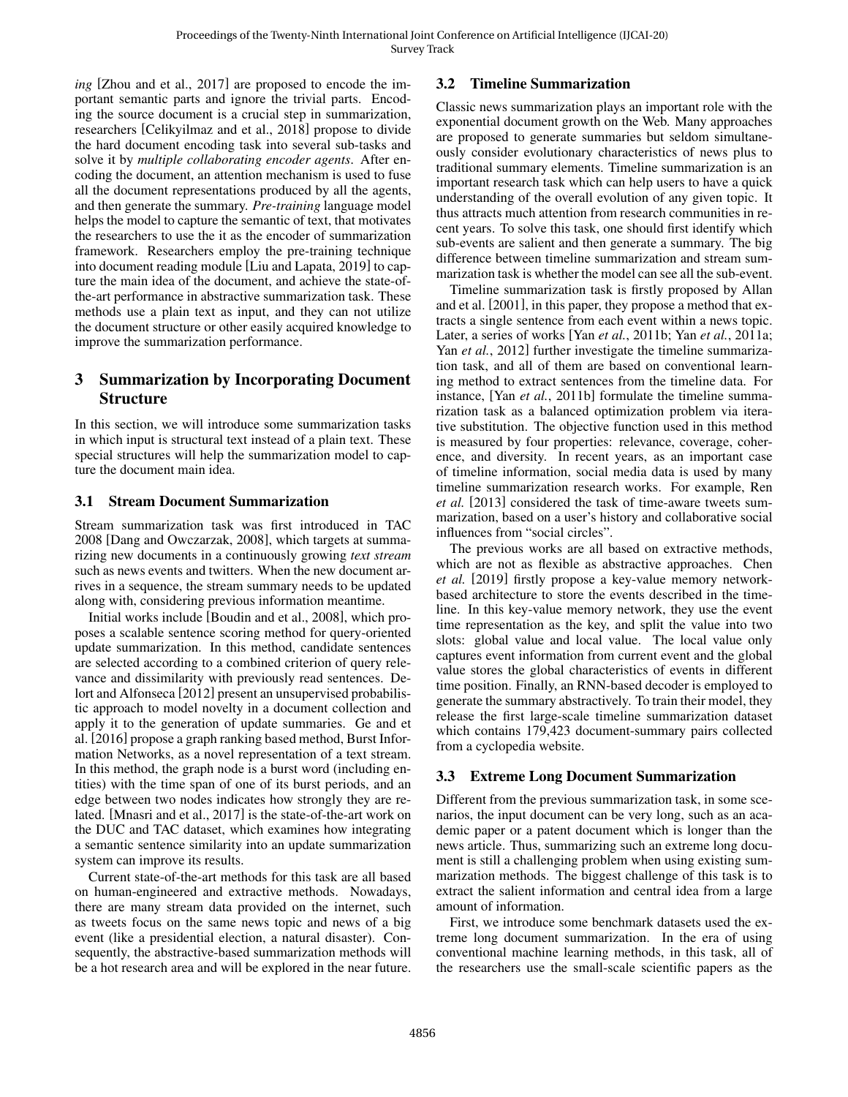*ing* [\[Zhou and et al., 2017\]](#page-6-16) are proposed to encode the important semantic parts and ignore the trivial parts. Encoding the source document is a crucial step in summarization, researchers [\[Celikyilmaz and et al., 2018\]](#page-5-1) propose to divide the hard document encoding task into several sub-tasks and solve it by *multiple collaborating encoder agents*. After encoding the document, an attention mechanism is used to fuse all the document representations produced by all the agents, and then generate the summary. *Pre-training* language model helps the model to capture the semantic of text, that motivates the researchers to use the it as the encoder of summarization framework. Researchers employ the pre-training technique into document reading module [\[Liu and Lapata, 2019\]](#page-6-4) to capture the main idea of the document, and achieve the state-ofthe-art performance in abstractive summarization task. These methods use a plain text as input, and they can not utilize the document structure or other easily acquired knowledge to improve the summarization performance.

# 3 Summarization by Incorporating Document Structure

In this section, we will introduce some summarization tasks in which input is structural text instead of a plain text. These special structures will help the summarization model to capture the document main idea.

### 3.1 Stream Document Summarization

Stream summarization task was first introduced in TAC 2008 [\[Dang and Owczarzak, 2008\]](#page-5-9), which targets at summarizing new documents in a continuously growing *text stream* such as news events and twitters. When the new document arrives in a sequence, the stream summary needs to be updated along with, considering previous information meantime.

Initial works include [\[Boudin and et al., 2008\]](#page-5-10), which proposes a scalable sentence scoring method for query-oriented update summarization. In this method, candidate sentences are selected according to a combined criterion of query relevance and dissimilarity with previously read sentences. [De](#page-5-11)[lort and Alfonseca](#page-5-11) [\[2012\]](#page-5-11) present an unsupervised probabilistic approach to model novelty in a document collection and apply it to the generation of update summaries. [Ge and et](#page-5-12) [al.](#page-5-12) [\[2016\]](#page-5-12) propose a graph ranking based method, Burst Information Networks, as a novel representation of a text stream. In this method, the graph node is a burst word (including entities) with the time span of one of its burst periods, and an edge between two nodes indicates how strongly they are related. [\[Mnasri and et al., 2017\]](#page-6-17) is the state-of-the-art work on the DUC and TAC dataset, which examines how integrating a semantic sentence similarity into an update summarization system can improve its results.

Current state-of-the-art methods for this task are all based on human-engineered and extractive methods. Nowadays, there are many stream data provided on the internet, such as tweets focus on the same news topic and news of a big event (like a presidential election, a natural disaster). Consequently, the abstractive-based summarization methods will be a hot research area and will be explored in the near future.

# 3.2 Timeline Summarization

Classic news summarization plays an important role with the exponential document growth on the Web. Many approaches are proposed to generate summaries but seldom simultaneously consider evolutionary characteristics of news plus to traditional summary elements. Timeline summarization is an important research task which can help users to have a quick understanding of the overall evolution of any given topic. It thus attracts much attention from research communities in recent years. To solve this task, one should first identify which sub-events are salient and then generate a summary. The big difference between timeline summarization and stream summarization task is whether the model can see all the sub-event.

Timeline summarization task is firstly proposed by [Allan](#page-5-13) [and et al.](#page-5-13) [\[2001\]](#page-5-13), in this paper, they propose a method that extracts a single sentence from each event within a news topic. Later, a series of works [Yan *et al.*[, 2011b;](#page-6-18) Yan *et al.*[, 2011a;](#page-6-19) Yan *et al.*[, 2012\]](#page-6-20) further investigate the timeline summarization task, and all of them are based on conventional learning method to extract sentences from the timeline data. For instance, [Yan *et al.*[, 2011b\]](#page-6-18) formulate the timeline summarization task as a balanced optimization problem via iterative substitution. The objective function used in this method is measured by four properties: relevance, coverage, coherence, and diversity. In recent years, as an important case of timeline information, social media data is used by many timeline summarization research works. For example, [Ren](#page-6-21) *[et al.](#page-6-21)* [\[2013\]](#page-6-21) considered the task of time-aware tweets summarization, based on a user's history and collaborative social influences from "social circles".

The previous works are all based on extractive methods, which are not as flexible as abstractive approaches. [Chen](#page-5-14) *[et al.](#page-5-14)* [\[2019\]](#page-5-14) firstly propose a key-value memory networkbased architecture to store the events described in the timeline. In this key-value memory network, they use the event time representation as the key, and split the value into two slots: global value and local value. The local value only captures event information from current event and the global value stores the global characteristics of events in different time position. Finally, an RNN-based decoder is employed to generate the summary abstractively. To train their model, they release the first large-scale timeline summarization dataset which contains 179,423 document-summary pairs collected from a cyclopedia website.

# 3.3 Extreme Long Document Summarization

Different from the previous summarization task, in some scenarios, the input document can be very long, such as an academic paper or a patent document which is longer than the news article. Thus, summarizing such an extreme long document is still a challenging problem when using existing summarization methods. The biggest challenge of this task is to extract the salient information and central idea from a large amount of information.

First, we introduce some benchmark datasets used the extreme long document summarization. In the era of using conventional machine learning methods, in this task, all of the researchers use the small-scale scientific papers as the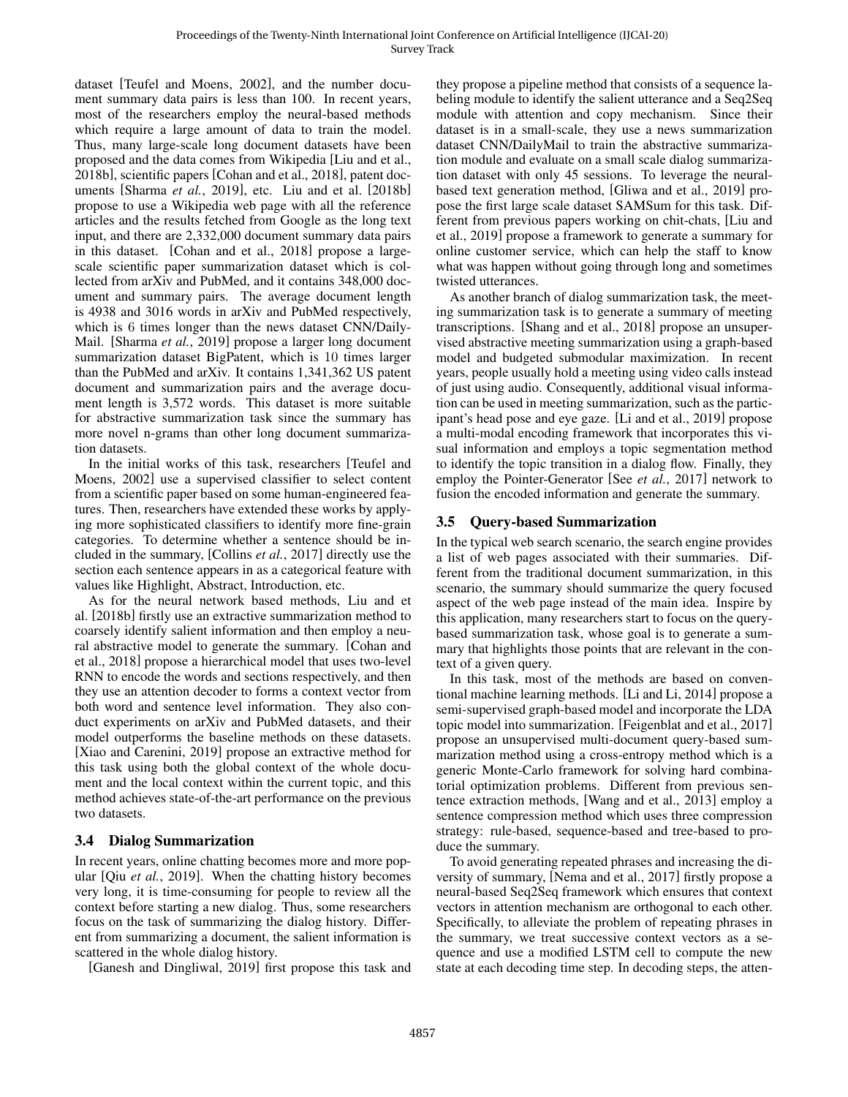dataset [\[Teufel and Moens, 2002\]](#page-6-22), and the number document summary data pairs is less than 100. In recent years, most of the researchers employ the neural-based methods which require a large amount of data to train the model. Thus, many large-scale long document datasets have been proposed and the data comes from Wikipedia [\[Liu and et al.,](#page-6-23) [2018b\]](#page-6-23), scientific papers [\[Cohan and et al., 2018\]](#page-5-15), patent doc-uments [\[Sharma](#page-6-24) et al., 2019], etc. [Liu and et al.](#page-6-23) [\[2018b\]](#page-6-23) propose to use a Wikipedia web page with all the reference articles and the results fetched from Google as the long text input, and there are 2,332,000 document summary data pairs in this dataset. [\[Cohan and et al., 2018\]](#page-5-15) propose a largescale scientific paper summarization dataset which is collected from arXiv and PubMed, and it contains 348,000 document and summary pairs. The average document length is 4938 and 3016 words in arXiv and PubMed respectively, which is 6 times longer than the news dataset CNN/Daily-Mail. [\[Sharma](#page-6-24) *et al.*, 2019] propose a larger long document summarization dataset BigPatent, which is 10 times larger than the PubMed and arXiv. It contains 1,341,362 US patent document and summarization pairs and the average document length is 3,572 words. This dataset is more suitable for abstractive summarization task since the summary has more novel n-grams than other long document summarization datasets.

In the initial works of this task, researchers [\[Teufel and](#page-6-22) [Moens, 2002\]](#page-6-22) use a supervised classifier to select content from a scientific paper based on some human-engineered features. Then, researchers have extended these works by applying more sophisticated classifiers to identify more fine-grain categories. To determine whether a sentence should be included in the summary, [\[Collins](#page-5-16) *et al.*, 2017] directly use the section each sentence appears in as a categorical feature with values like Highlight, Abstract, Introduction, etc.

As for the neural network based methods, [Liu and et](#page-6-23) [al.](#page-6-23) [\[2018b\]](#page-6-23) firstly use an extractive summarization method to coarsely identify salient information and then employ a neural abstractive model to generate the summary. [\[Cohan and](#page-5-15) [et al., 2018\]](#page-5-15) propose a hierarchical model that uses two-level RNN to encode the words and sections respectively, and then they use an attention decoder to forms a context vector from both word and sentence level information. They also conduct experiments on arXiv and PubMed datasets, and their model outperforms the baseline methods on these datasets. [\[Xiao and Carenini, 2019\]](#page-6-25) propose an extractive method for this task using both the global context of the whole document and the local context within the current topic, and this method achieves state-of-the-art performance on the previous two datasets.

### 3.4 Dialog Summarization

In recent years, online chatting becomes more and more popular [Qiu *et al.*[, 2019\]](#page-6-26). When the chatting history becomes very long, it is time-consuming for people to review all the context before starting a new dialog. Thus, some researchers focus on the task of summarizing the dialog history. Different from summarizing a document, the salient information is scattered in the whole dialog history.

[\[Ganesh and Dingliwal, 2019\]](#page-5-17) first propose this task and

they propose a pipeline method that consists of a sequence labeling module to identify the salient utterance and a Seq2Seq module with attention and copy mechanism. Since their dataset is in a small-scale, they use a news summarization dataset CNN/DailyMail to train the abstractive summarization module and evaluate on a small scale dialog summarization dataset with only 45 sessions. To leverage the neuralbased text generation method, [\[Gliwa and et al., 2019\]](#page-5-18) propose the first large scale dataset SAMSum for this task. Different from previous papers working on chit-chats, [\[Liu and](#page-6-27) [et al., 2019\]](#page-6-27) propose a framework to generate a summary for online customer service, which can help the staff to know what was happen without going through long and sometimes twisted utterances.

As another branch of dialog summarization task, the meeting summarization task is to generate a summary of meeting transcriptions. [\[Shang and et al., 2018\]](#page-6-28) propose an unsupervised abstractive meeting summarization using a graph-based model and budgeted submodular maximization. In recent years, people usually hold a meeting using video calls instead of just using audio. Consequently, additional visual information can be used in meeting summarization, such as the participant's head pose and eye gaze. [\[Li and et al., 2019\]](#page-6-29) propose a multi-modal encoding framework that incorporates this visual information and employs a topic segmentation method to identify the topic transition in a dialog flow. Finally, they employ the Pointer-Generator [See *et al.*[, 2017\]](#page-6-5) network to fusion the encoded information and generate the summary.

# 3.5 Query-based Summarization

In the typical web search scenario, the search engine provides a list of web pages associated with their summaries. Different from the traditional document summarization, in this scenario, the summary should summarize the query focused aspect of the web page instead of the main idea. Inspire by this application, many researchers start to focus on the querybased summarization task, whose goal is to generate a summary that highlights those points that are relevant in the context of a given query.

In this task, most of the methods are based on conventional machine learning methods. [\[Li and Li, 2014\]](#page-6-30) propose a semi-supervised graph-based model and incorporate the LDA topic model into summarization. [\[Feigenblat and et al., 2017\]](#page-5-19) propose an unsupervised multi-document query-based summarization method using a cross-entropy method which is a generic Monte-Carlo framework for solving hard combinatorial optimization problems. Different from previous sentence extraction methods, [\[Wang and et al., 2013\]](#page-6-31) employ a sentence compression method which uses three compression strategy: rule-based, sequence-based and tree-based to produce the summary.

To avoid generating repeated phrases and increasing the diversity of summary, [\[Nema and et al., 2017\]](#page-6-32) firstly propose a neural-based Seq2Seq framework which ensures that context vectors in attention mechanism are orthogonal to each other. Specifically, to alleviate the problem of repeating phrases in the summary, we treat successive context vectors as a sequence and use a modified LSTM cell to compute the new state at each decoding time step. In decoding steps, the atten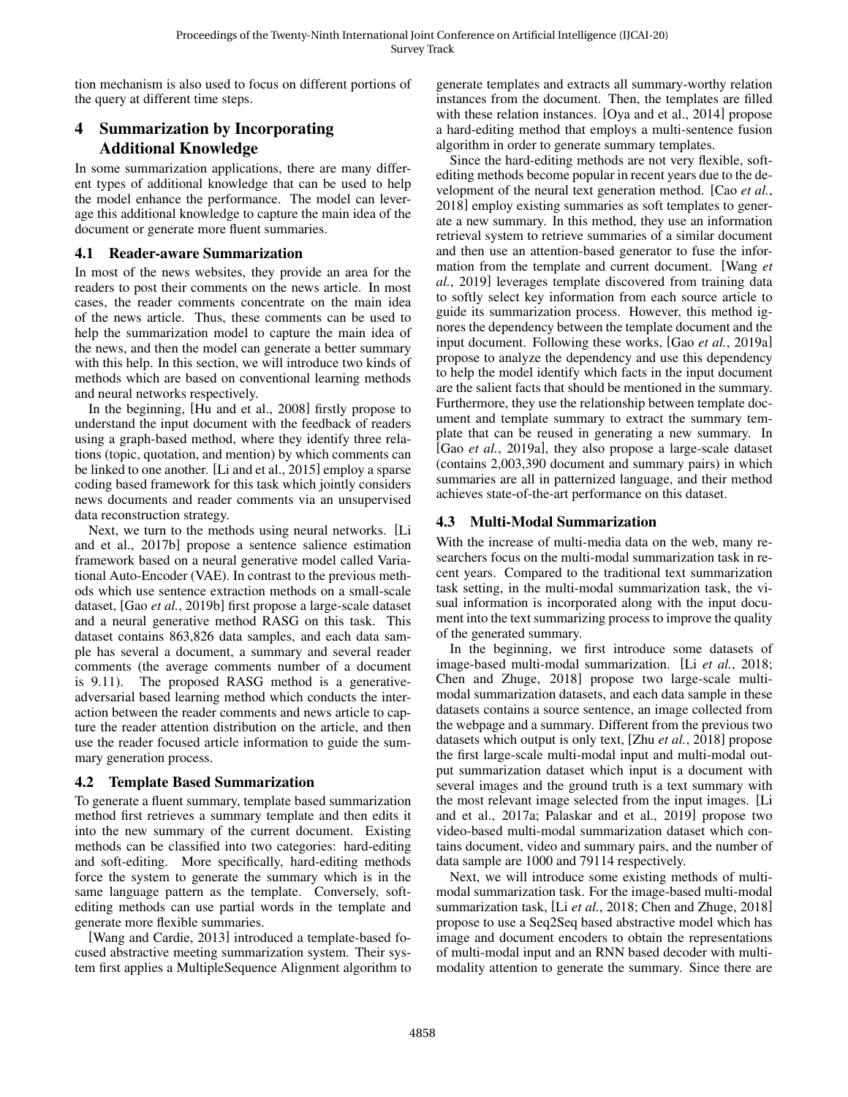tion mechanism is also used to focus on different portions of the query at different time steps.

# 4 Summarization by Incorporating Additional Knowledge

In some summarization applications, there are many different types of additional knowledge that can be used to help the model enhance the performance. The model can leverage this additional knowledge to capture the main idea of the document or generate more fluent summaries.

#### 4.1 Reader-aware Summarization

In most of the news websites, they provide an area for the readers to post their comments on the news article. In most cases, the reader comments concentrate on the main idea of the news article. Thus, these comments can be used to help the summarization model to capture the main idea of the news, and then the model can generate a better summary with this help. In this section, we will introduce two kinds of methods which are based on conventional learning methods and neural networks respectively.

In the beginning, [\[Hu and et al., 2008\]](#page-5-20) firstly propose to understand the input document with the feedback of readers using a graph-based method, where they identify three relations (topic, quotation, and mention) by which comments can be linked to one another. [\[Li and et al., 2015\]](#page-5-21) employ a sparse coding based framework for this task which jointly considers news documents and reader comments via an unsupervised data reconstruction strategy.

Next, we turn to the methods using neural networks. [\[Li](#page-6-33) [and et al., 2017b\]](#page-6-33) propose a sentence salience estimation framework based on a neural generative model called Variational Auto-Encoder (VAE). In contrast to the previous methods which use sentence extraction methods on a small-scale dataset, [Gao *et al.*[, 2019b\]](#page-5-22) first propose a large-scale dataset and a neural generative method RASG on this task. This dataset contains 863,826 data samples, and each data sample has several a document, a summary and several reader comments (the average comments number of a document is 9.11). The proposed RASG method is a generativeadversarial based learning method which conducts the interaction between the reader comments and news article to capture the reader attention distribution on the article, and then use the reader focused article information to guide the summary generation process.

### 4.2 Template Based Summarization

To generate a fluent summary, template based summarization method first retrieves a summary template and then edits it into the new summary of the current document. Existing methods can be classified into two categories: hard-editing and soft-editing. More specifically, hard-editing methods force the system to generate the summary which is in the same language pattern as the template. Conversely, softediting methods can use partial words in the template and generate more flexible summaries.

[\[Wang and Cardie, 2013\]](#page-6-34) introduced a template-based focused abstractive meeting summarization system. Their system first applies a MultipleSequence Alignment algorithm to generate templates and extracts all summary-worthy relation instances from the document. Then, the templates are filled with these relation instances. [\[Oya and et al., 2014\]](#page-6-35) propose a hard-editing method that employs a multi-sentence fusion algorithm in order to generate summary templates.

Since the hard-editing methods are not very flexible, softediting methods become popular in recent years due to the development of the neural text generation method. [Cao *[et al.](#page-5-23)*, [2018\]](#page-5-23) employ existing summaries as soft templates to generate a new summary. In this method, they use an information retrieval system to retrieve summaries of a similar document and then use an attention-based generator to fuse the information from the template and current document. [\[Wang](#page-6-36) *et al.*[, 2019\]](#page-6-36) leverages template discovered from training data to softly select key information from each source article to guide its summarization process. However, this method ignores the dependency between the template document and the input document. Following these works, [Gao *et al.*[, 2019a\]](#page-5-24) propose to analyze the dependency and use this dependency to help the model identify which facts in the input document are the salient facts that should be mentioned in the summary. Furthermore, they use the relationship between template document and template summary to extract the summary template that can be reused in generating a new summary. In [Gao *et al.*[, 2019a\]](#page-5-24), they also propose a large-scale dataset (contains 2,003,390 document and summary pairs) in which summaries are all in patternized language, and their method achieves state-of-the-art performance on this dataset.

# 4.3 Multi-Modal Summarization

With the increase of multi-media data on the web, many researchers focus on the multi-modal summarization task in recent years. Compared to the traditional text summarization task setting, in the multi-modal summarization task, the visual information is incorporated along with the input document into the text summarizing process to improve the quality of the generated summary.

In the beginning, we first introduce some datasets of image-based multi-modal summarization. [Li *et al.*[, 2018;](#page-6-37) [Chen and Zhuge, 2018\]](#page-5-25) propose two large-scale multimodal summarization datasets, and each data sample in these datasets contains a source sentence, an image collected from the webpage and a summary. Different from the previous two datasets which output is only text, [Zhu *et al.*[, 2018\]](#page-6-38) propose the first large-scale multi-modal input and multi-modal output summarization dataset which input is a document with several images and the ground truth is a text summary with the most relevant image selected from the input images. [\[Li](#page-5-26) [and et al., 2017a;](#page-5-26) [Palaskar and et al., 2019\]](#page-6-39) propose two video-based multi-modal summarization dataset which contains document, video and summary pairs, and the number of data sample are 1000 and 79114 respectively.

Next, we will introduce some existing methods of multimodal summarization task. For the image-based multi-modal summarization task, [Li *et al.*[, 2018;](#page-6-37) [Chen and Zhuge, 2018\]](#page-5-25) propose to use a Seq2Seq based abstractive model which has image and document encoders to obtain the representations of multi-modal input and an RNN based decoder with multimodality attention to generate the summary. Since there are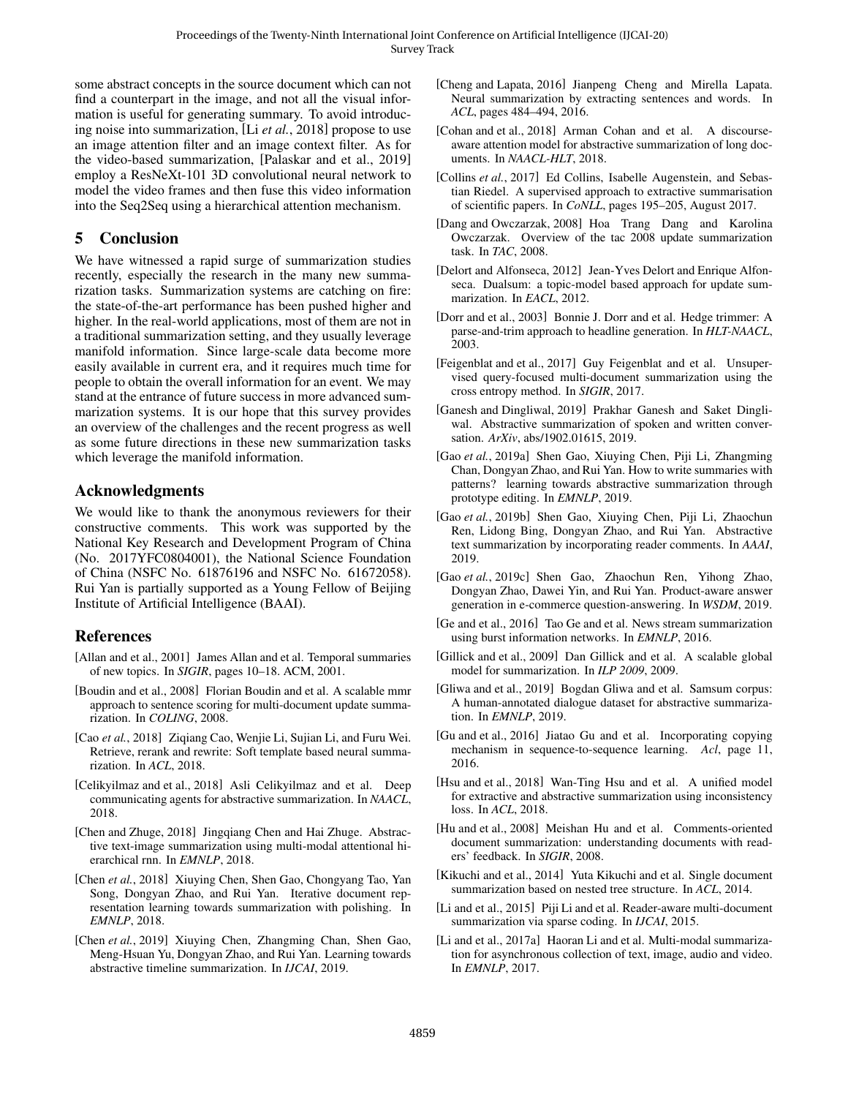some abstract concepts in the source document which can not find a counterpart in the image, and not all the visual information is useful for generating summary. To avoid introducing noise into summarization, [Li *et al.*[, 2018\]](#page-6-37) propose to use an image attention filter and an image context filter. As for the video-based summarization, [\[Palaskar and et al., 2019\]](#page-6-39) employ a ResNeXt-101 3D convolutional neural network to model the video frames and then fuse this video information into the Seq2Seq using a hierarchical attention mechanism.

# 5 Conclusion

We have witnessed a rapid surge of summarization studies recently, especially the research in the many new summarization tasks. Summarization systems are catching on fire: the state-of-the-art performance has been pushed higher and higher. In the real-world applications, most of them are not in a traditional summarization setting, and they usually leverage manifold information. Since large-scale data become more easily available in current era, and it requires much time for people to obtain the overall information for an event. We may stand at the entrance of future success in more advanced summarization systems. It is our hope that this survey provides an overview of the challenges and the recent progress as well as some future directions in these new summarization tasks which leverage the manifold information.

# Acknowledgments

We would like to thank the anonymous reviewers for their constructive comments. This work was supported by the National Key Research and Development Program of China (No. 2017YFC0804001), the National Science Foundation of China (NSFC No. 61876196 and NSFC No. 61672058). Rui Yan is partially supported as a Young Fellow of Beijing Institute of Artificial Intelligence (BAAI).

### References

- <span id="page-5-13"></span>[Allan and et al., 2001] James Allan and et al. Temporal summaries of new topics. In *SIGIR*, pages 10–18. ACM, 2001.
- <span id="page-5-10"></span>[Boudin and et al., 2008] Florian Boudin and et al. A scalable mmr approach to sentence scoring for multi-document update summarization. In *COLING*, 2008.
- <span id="page-5-23"></span>[Cao et al., 2018] Ziqiang Cao, Wenjie Li, Sujian Li, and Furu Wei. Retrieve, rerank and rewrite: Soft template based neural summarization. In *ACL*, 2018.
- <span id="page-5-1"></span>[Celikyilmaz and et al., 2018] Asli Celikyilmaz and et al. Deep communicating agents for abstractive summarization. In *NAACL*, 2018.
- <span id="page-5-25"></span>[Chen and Zhuge, 2018] Jingqiang Chen and Hai Zhuge. Abstractive text-image summarization using multi-modal attentional hierarchical rnn. In *EMNLP*, 2018.
- <span id="page-5-6"></span>[Chen *et al.*, 2018] Xiuying Chen, Shen Gao, Chongyang Tao, Yan Song, Dongyan Zhao, and Rui Yan. Iterative document representation learning towards summarization with polishing. In *EMNLP*, 2018.
- <span id="page-5-14"></span>[Chen *et al.*, 2019] Xiuving Chen, Zhangming Chan, Shen Gao, Meng-Hsuan Yu, Dongyan Zhao, and Rui Yan. Learning towards abstractive timeline summarization. In *IJCAI*, 2019.
- <span id="page-5-5"></span>[Cheng and Lapata, 2016] Jianpeng Cheng and Mirella Lapata. Neural summarization by extracting sentences and words. In *ACL*, pages 484–494, 2016.
- <span id="page-5-15"></span>[Cohan and et al., 2018] Arman Cohan and et al. A discourseaware attention model for abstractive summarization of long documents. In *NAACL-HLT*, 2018.
- <span id="page-5-16"></span>[Collins *et al.*, 2017] Ed Collins, Isabelle Augenstein, and Sebastian Riedel. A supervised approach to extractive summarisation of scientific papers. In *CoNLL*, pages 195–205, August 2017.
- <span id="page-5-9"></span>[Dang and Owczarzak, 2008] Hoa Trang Dang and Karolina Owczarzak. Overview of the tac 2008 update summarization task. In *TAC*, 2008.
- <span id="page-5-11"></span>[Delort and Alfonseca, 2012] Jean-Yves Delort and Enrique Alfonseca. Dualsum: a topic-model based approach for update summarization. In *EACL*, 2012.
- <span id="page-5-4"></span>[Dorr and et al., 2003] Bonnie J. Dorr and et al. Hedge trimmer: A parse-and-trim approach to headline generation. In *HLT-NAACL*, 2003.
- <span id="page-5-19"></span>[Feigenblat and et al., 2017] Guy Feigenblat and et al. Unsupervised query-focused multi-document summarization using the cross entropy method. In *SIGIR*, 2017.
- <span id="page-5-17"></span>[Ganesh and Dingliwal, 2019] Prakhar Ganesh and Saket Dingliwal. Abstractive summarization of spoken and written conversation. *ArXiv*, abs/1902.01615, 2019.
- <span id="page-5-24"></span>[Gao *et al.*, 2019a] Shen Gao, Xiuying Chen, Piji Li, Zhangming Chan, Dongyan Zhao, and Rui Yan. How to write summaries with patterns? learning towards abstractive summarization through prototype editing. In *EMNLP*, 2019.
- <span id="page-5-22"></span>[Gao *et al.*, 2019b] Shen Gao, Xiuying Chen, Piji Li, Zhaochun Ren, Lidong Bing, Dongyan Zhao, and Rui Yan. Abstractive text summarization by incorporating reader comments. In *AAAI*, 2019.
- <span id="page-5-7"></span>[Gao *et al.*, 2019c] Shen Gao, Zhaochun Ren, Yihong Zhao, Dongyan Zhao, Dawei Yin, and Rui Yan. Product-aware answer generation in e-commerce question-answering. In *WSDM*, 2019.
- <span id="page-5-12"></span>[Ge and et al., 2016] Tao Ge and et al. News stream summarization using burst information networks. In *EMNLP*, 2016.
- <span id="page-5-3"></span>[Gillick and et al., 2009] Dan Gillick and et al. A scalable global model for summarization. In *ILP 2009*, 2009.
- <span id="page-5-18"></span>[Gliwa and et al., 2019] Bogdan Gliwa and et al. Samsum corpus: A human-annotated dialogue dataset for abstractive summarization. In *EMNLP*, 2019.
- <span id="page-5-8"></span>[Gu and et al., 2016] Jiatao Gu and et al. Incorporating copying mechanism in sequence-to-sequence learning. *Acl*, page 11, 2016.
- <span id="page-5-0"></span>[Hsu and et al., 2018] Wan-Ting Hsu and et al. A unified model for extractive and abstractive summarization using inconsistency loss. In *ACL*, 2018.
- <span id="page-5-20"></span>[Hu and et al., 2008] Meishan Hu and et al. Comments-oriented document summarization: understanding documents with readers' feedback. In *SIGIR*, 2008.
- <span id="page-5-2"></span>[Kikuchi and et al., 2014] Yuta Kikuchi and et al. Single document summarization based on nested tree structure. In *ACL*, 2014.
- <span id="page-5-21"></span>[Li and et al., 2015] Piji Li and et al. Reader-aware multi-document summarization via sparse coding. In *IJCAI*, 2015.
- <span id="page-5-26"></span>[Li and et al., 2017a] Haoran Li and et al. Multi-modal summarization for asynchronous collection of text, image, audio and video. In *EMNLP*, 2017.